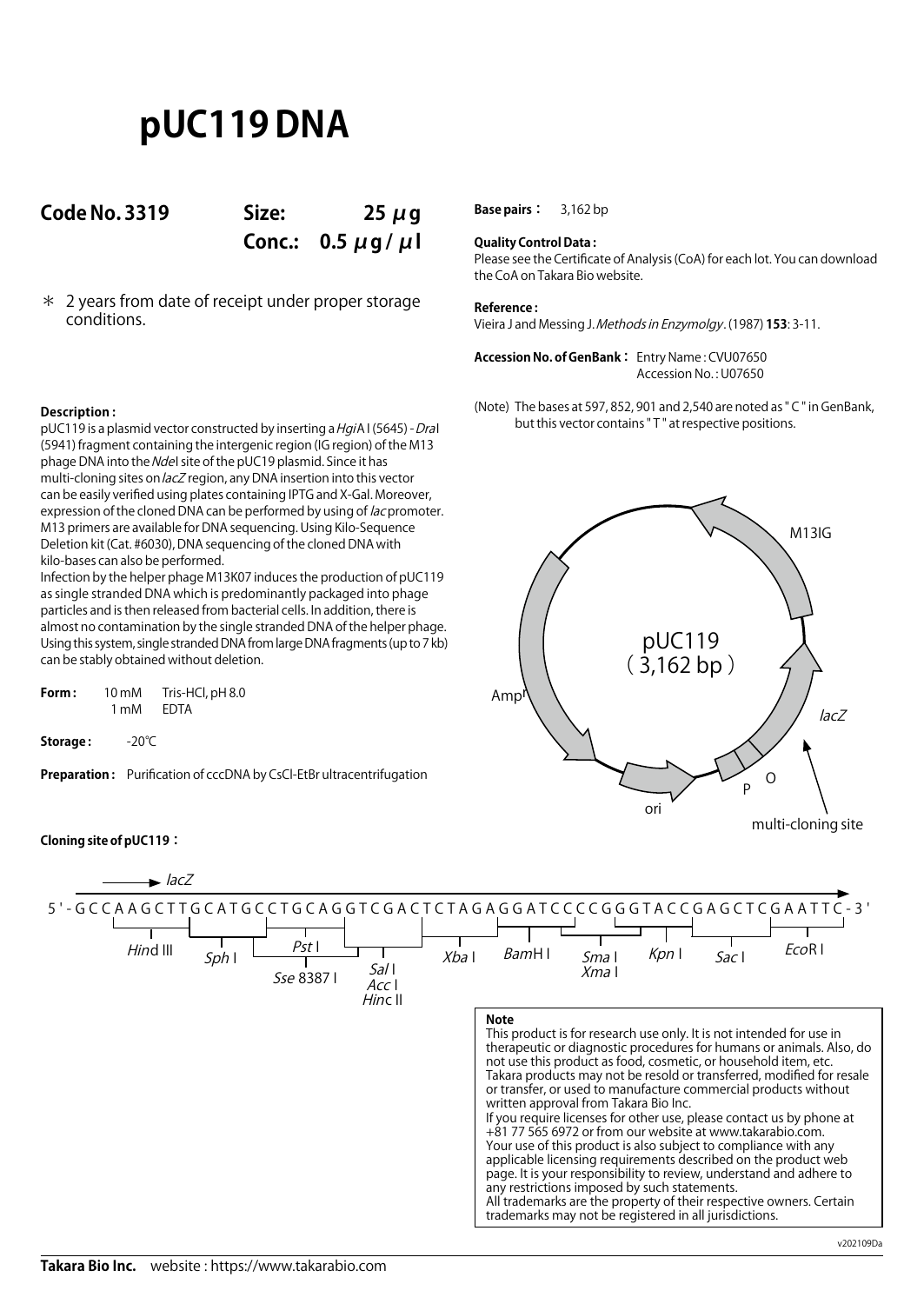# **pUC119 DNA**

### **Code No. 3319 Size: 25 μg**

**Conc.: 0.5 μg / μl**

\* 2 years from date of receipt under proper storage conditions.

**Base pairs:** 3,162 bp

#### **Quality Control Data :**

Please see the Certificate of Analysis (CoA) for each lot. You can download the CoA on Takara Bio website.

#### **Reference :**

Vieira J and Messing J. Methods in Enzymolgy. (1987) **153**: 3-11.

**Accession No. of GenBank :** Entry Name : CVU07650 Accession No. : U07650

(Note) The bases at 597, 852, 901 and 2,540 are noted as " C " in GenBank, but this vector contains " T " at respective positions.

### multi-cloning site Amp ori  $\Omega$ P lacZ M13IG pUC119 ( 3,162 bp )

#### **Description :**

pUC119 is a plasmid vector constructed by inserting a HgiA I (5645) - DraI (5941) fragment containing the intergenic region (IG region) of the M13 phage DNA into the Ndel site of the pUC19 plasmid. Since it has multi-cloning sites on lacZ region, any DNA insertion into this vector can be easily verified using plates containing IPTG and X-Gal. Moreover, expression of the cloned DNA can be performed by using of *lac* promoter. M13 primers are available for DNA sequencing. Using Kilo-Sequence Deletion kit (Cat. #6030), DNA sequencing of the cloned DNA with kilo-bases can also be performed.

Infection by the helper phage M13K07 induces the production of pUC119 as single stranded DNA which is predominantly packaged into phage particles and is then released from bacterial cells. In addition, there is almost no contamination by the single stranded DNA of the helper phage. Using this system, single stranded DNA from large DNA fragments (up to 7 kb) can be stably obtained without deletion.

| Form: | 10 <sub>m</sub> M | Tris-HCl, pH 8.0 |
|-------|-------------------|------------------|
|       | 1 mM              | EDTA             |

**Storage :** -20℃

**Preparation :** Purification of cccDNA by CsCl-EtBr ultracentrifugation